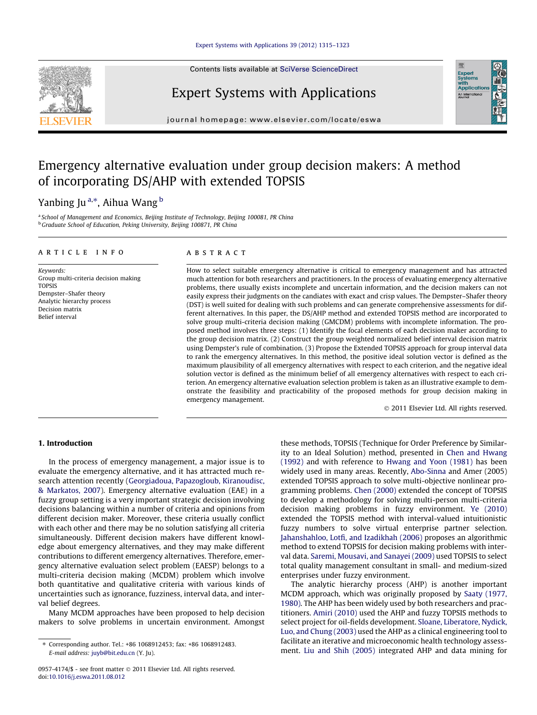Contents lists available at [SciVerse ScienceDirect](http://www.sciencedirect.com/science/journal/09574174)



# Expert Systems with Applications

journal homepage: [www.elsevier.com/locate/eswa](http://www.elsevier.com/locate/eswa)

## Emergency alternative evaluation under group decision makers: A method of incorporating DS/AHP with extended TOPSIS

### Yanbing Ju<sup>a,</sup>\*, Aihua Wang <sup>b</sup>

a School of Management and Economics, Beijing Institute of Technology, Beijing 100081, PR China <sup>b</sup> Graduate School of Education, Peking University, Beijing 100871, PR China

#### article info

Keywords: Group multi-criteria decision making TOPSIS Dempster–Shafer theory Analytic hierarchy process Decision matrix Belief interval

#### **ABSTRACT**

How to select suitable emergency alternative is critical to emergency management and has attracted much attention for both researchers and practitioners. In the process of evaluating emergency alternative problems, there usually exists incomplete and uncertain information, and the decision makers can not easily express their judgments on the candiates with exact and crisp values. The Dempster–Shafer theory (DST) is well suited for dealing with such problems and can generate comprehensive assessments for different alternatives. In this paper, the DS/AHP method and extended TOPSIS method are incorporated to solve group multi-criteria decision making (GMCDM) problems with incomplete information. The proposed method involves three steps: (1) Identify the focal elements of each decision maker according to the group decision matrix. (2) Construct the group weighted normalized belief interval decision matrix using Dempster's rule of combination. (3) Propose the Extended TOPSIS approach for group interval data to rank the emergency alternatives. In this method, the positive ideal solution vector is defined as the maximum plausibility of all emergency alternatives with respect to each criterion, and the negative ideal solution vector is defined as the minimum belief of all emergency alternatives with respect to each criterion. An emergency alternative evaluation selection problem is taken as an illustrative example to demonstrate the feasibility and practicability of the proposed methods for group decision making in emergency management.

- 2011 Elsevier Ltd. All rights reserved.

Expert<br>Systems<br>with<br>Applicati

#### 1. Introduction

In the process of emergency management, a major issue is to evaluate the emergency alternative, and it has attracted much research attention recently ([Georgiadoua, Papazogloub, Kiranoudisc,](#page--1-0) [& Markatos, 2007\)](#page--1-0). Emergency alternative evaluation (EAE) in a fuzzy group setting is a very important strategic decision involving decisions balancing within a number of criteria and opinions from different decision maker. Moreover, these criteria usually conflict with each other and there may be no solution satisfying all criteria simultaneously. Different decision makers have different knowledge about emergency alternatives, and they may make different contributions to different emergency alternatives. Therefore, emergency alternative evaluation select problem (EAESP) belongs to a multi-criteria decision making (MCDM) problem which involve both quantitative and qualitative criteria with various kinds of uncertainties such as ignorance, fuzziness, interval data, and interval belief degrees.

Many MCDM approaches have been proposed to help decision makers to solve problems in uncertain environment. Amongst these methods, TOPSIS (Technique for Order Preference by Similarity to an Ideal Solution) method, presented in [Chen and Hwang](#page--1-0) [\(1992\)](#page--1-0) and with reference to [Hwang and Yoon \(1981\)](#page--1-0) has been widely used in many areas. Recently, [Abo-Sinna](#page--1-0) and Amer (2005) extended TOPSIS approach to solve multi-objective nonlinear programming problems. [Chen \(2000\)](#page--1-0) extended the concept of TOPSIS to develop a methodology for solving multi-person multi-criteria decision making problems in fuzzy environment. [Ye \(2010\)](#page--1-0) extended the TOPSIS method with interval-valued intuitionistic fuzzy numbers to solve virtual enterprise partner selection. [Jahanshahloo, Lotfi, and Izadikhah \(2006\)](#page--1-0) proposes an algorithmic method to extend TOPSIS for decision making problems with interval data. [Saremi, Mousavi, and Sanayei \(2009\)](#page--1-0) used TOPSIS to select total quality management consultant in small- and medium-sized enterprises under fuzzy environment.

The analytic hierarchy process (AHP) is another important MCDM approach, which was originally proposed by [Saaty \(1977,](#page--1-0) [1980\)](#page--1-0). The AHP has been widely used by both researchers and practitioners. [Amiri \(2010\)](#page--1-0) used the AHP and fuzzy TOPSIS methods to select project for oil-fields development. [Sloane, Liberatore, Nydick,](#page--1-0) [Luo, and Chung \(2003\)](#page--1-0) used the AHP as a clinical engineering tool to facilitate an iterative and microeconomic health technology assessment. [Liu and Shih \(2005\)](#page--1-0) integrated AHP and data mining for

<sup>⇑</sup> Corresponding author. Tel.: +86 1068912453; fax: +86 1068912483. E-mail address: [juyb@bit.edu.cn](mailto:juyb@bit.edu.cn) (Y. Ju).

<sup>0957-4174/\$ -</sup> see front matter © 2011 Elsevier Ltd. All rights reserved. doi[:10.1016/j.eswa.2011.08.012](http://dx.doi.org/10.1016/j.eswa.2011.08.012)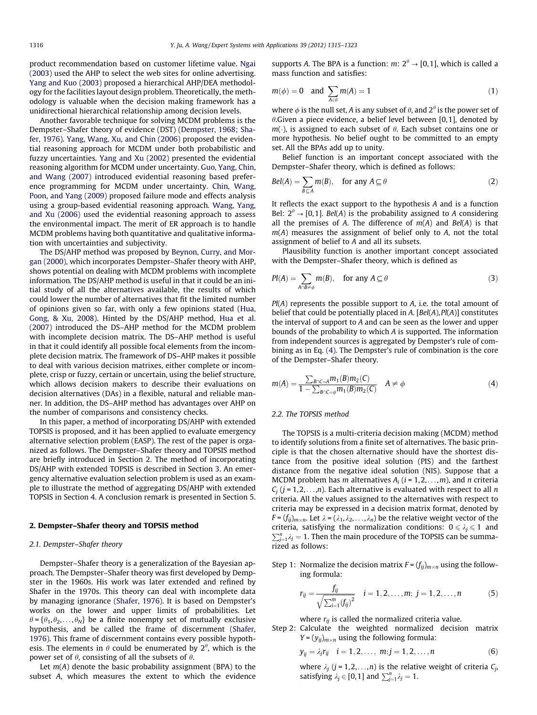product recommendation based on customer lifetime value. [Ngai](#page--1-0) [\(2003\)](#page--1-0) used the AHP to select the web sites for online advertising. [Yang and Kuo \(2003\)](#page--1-0) proposed a hierarchical AHP/DEA methodology for the facilities layout design problem. Theoretically, the methodology is valuable when the decision making framework has a unidirectional hierarchical relationship among decision levels.

Another favorable technique for solving MCDM problems is the Dempster–Shafer theory of evidence (DST) ([Dempster, 1968; Sha](#page--1-0)[fer, 1976\)](#page--1-0). [Yang, Wang, Xu, and Chin \(2006\)](#page--1-0) proposed the evidential reasoning approach for MCDM under both probabilistic and fuzzy uncertainties. [Yang and Xu \(2002\)](#page--1-0) presented the evidential reasoning algorithm for MCDM under uncertainty. [Guo, Yang, Chin,](#page--1-0) [and Wang \(2007\)](#page--1-0) introduced evidential reasoning based preference programming for MCDM under uncertainty. [Chin, Wang,](#page--1-0) [Poon, and Yang \(2009\)](#page--1-0) proposed failure mode and effects analysis using a group-based evidential reasoning approach. [Wang, Yang,](#page--1-0) [and Xu \(2006\)](#page--1-0) used the evidential reasoning approach to assess the environmental impact. The merit of ER approach is to handle MCDM problems having both quantitative and qualitative information with uncertainties and subjectivity.

The DS/AHP method was proposed by [Beynon, Curry, and Mor](#page--1-0)[gan \(2000\)](#page--1-0), which incorporates Dempster–Shafer theory with AHP, shows potential on dealing with MCDM problems with incomplete information. The DS/AHP method is useful in that it could be an initial study of all the alternatives available, the results of which could lower the number of alternatives that fit the limited number of opinions given so far, with only a few opinions stated ([Hua,](#page--1-0) [Gong, & Xu, 2008](#page--1-0)). Hinted by the DS/AHP method, [Hua et al.](#page--1-0) [\(2007\)](#page--1-0) introduced the DS–AHP method for the MCDM problem with incomplete decision matrix. The DS–AHP method is useful in that it could identify all possible focal elements from the incomplete decision matrix. The framework of DS–AHP makes it possible to deal with various decision matrixes, either complete or incomplete, crisp or fuzzy, certain or uncertain, using the belief structure, which allows decision makers to describe their evaluations on decision alternatives (DAs) in a flexible, natural and reliable manner. In addition, the DS–AHP method has advantages over AHP on the number of comparisons and consistency checks.

In this paper, a method of incorporating DS/AHP with extended TOPSIS is proposed, and it has been applied to evaluate emergency alternative selection problem (EASP). The rest of the paper is organized as follows. The Dempster–Shafer theory and TOPSIS method are briefly introduced in Section 2. The method of incorporating DS/AHP with extended TOPSIS is described in Section [3.](#page--1-0) An emergency alternative evaluation selection problem is used as an example to illustrate the method of aggregating DS/AHP with extended TOPSIS in Section [4](#page--1-0). A conclusion remark is presented in Section [5.](#page--1-0)

#### 2. Dempster–Shafer theory and TOPSIS method

#### 2.1. Dempster–Shafer theory

Dempster–Shafer theory is a generalization of the Bayesian approach. The Dempster–Shafer theory was first developed by Dempster in the 1960s. His work was later extended and refined by Shafer in the 1970s. This theory can deal with incomplete data by managing ignorance [\(Shafer, 1976](#page--1-0)). It is based on Dempster's works on the lower and upper limits of probabilities. Let  $\theta = {\theta_1, \theta_2, \ldots, \theta_N}$  be a finite nonempty set of mutually exclusive hypothesis, and be called the frame of discernment [\(Shafer,](#page--1-0) [1976\)](#page--1-0). This frame of discernment contains every possible hypothesis. The elements in  $\theta$  could be enumerated by  $2^\theta$ , which is the power set of  $\theta$ , consisting of all the subsets of  $\theta$ .

Let  $m(A)$  denote the basic probability assignment (BPA) to the subset A, which measures the extent to which the evidence supports A. The BPA is a function:  $m: 2^{\theta} \rightarrow [0,1]$ , which is called a mass function and satisfies:

$$
m(\phi) = 0 \quad \text{and} \quad \sum_{A \in \theta} m(A) = 1 \tag{1}
$$

where  $\phi$  is the null set, A is any subset of  $\theta$ , and  $2^{\theta}$  is the power set of  $\theta$ .Given a piece evidence, a belief level between [0,1], denoted by  $m(\cdot)$ , is assigned to each subset of  $\theta$ . Each subset contains one or more hypothesis. No belief ought to be committed to an empty set. All the BPAs add up to unity.

Belief function is an important concept associated with the Dempster–Shafer theory, which is defined as follows:

$$
Bel(A) = \sum_{B \subseteq A} m(B), \quad \text{for any } A \subseteq \theta \tag{2}
$$

It reflects the exact support to the hypothesis A and is a function Bel:  $2^{\theta} \rightarrow [0, 1]$ . Bel(A) is the probability assigned to A considering all the premises of A. The difference of  $m(A)$  and  $Bel(A)$  is that  $m(A)$  measures the assignment of belief only to  $A$ , not the total assignment of belief to A and all its subsets.

Plausibility function is another important concept associated with the Dempster–Shafer theory, which is defined as

$$
Pl(A) = \sum_{A \cap B \neq \phi} m(B), \quad \text{for any } A \subseteq \theta \tag{3}
$$

 $Pl(A)$  represents the possible support to  $A$ , i.e. the total amount of belief that could be potentially placed in A.  $[Bel(A), Pl(A)]$  constitutes the interval of support to A and can be seen as the lower and upper bounds of the probability to which A is supported. The information from independent sources is aggregated by Dempster's rule of combining as in Eq. (4). The Dempster's rule of combination is the core of the Dempster–Shafer theory.

$$
m(A) = \frac{\sum_{B \cap C = A} m_1(B) m_2(C)}{1 - \sum_{B \cap C = \phi} m_1(B) m_2(C)} \quad A \neq \phi
$$
\n
$$
(4)
$$

#### 2.2. The TOPSIS method

The TOPSIS is a multi-criteria decision making (MCDM) method to identify solutions from a finite set of alternatives. The basic principle is that the chosen alternative should have the shortest distance from the positive ideal solution (PIS) and the farthest distance from the negative ideal solution (NIS). Suppose that a MCDM problem has *m* alternatives  $A_i$  ( $i = 1, 2, \ldots, m$ ), and *n* criteria  $C_i$  (j = 1,2,...,n). Each alternative is evaluated with respect to all n criteria. All the values assigned to the alternatives with respect to criteria may be expressed in a decision matrix format, denoted by  $F = (f_{ij})_{m \times n}$ . Let  $\lambda = (\lambda_1, \lambda_2, \ldots, \lambda_n)$  be the relative weight vector of the criteria, satisfying the normalization conditions:  $0 \le \lambda_j \le 1$  and  $\sum_{j=1}^{n} \lambda_j = 1$ . Then the main procedure of the TOPSIS can be summarized as follows:

Step 1: Normalize the decision matrix  $F = (f_{ij})_{m \times n}$  using the following formula:

$$
r_{ij} = \frac{f_{ij}}{\sqrt{\sum_{i=1}^{m} (f_{ij})^2}} \quad i = 1, 2, \dots, m; \ j = 1, 2, \dots, n \tag{5}
$$

where  $r_{ij}$  is called the normalized criteria value.

Step 2: Calculate the weighted normalized decision matrix  $Y = (y_{ij})_{m \times n}$  using the following formula:

$$
y_{ij} = \lambda_j r_{ij}
$$
  $i = 1, 2, ..., m; j = 1, 2, ..., n$  (6)

where  $\lambda_j$  (j = 1, 2, ..., n) is the relative weight of criteria  $C_j$ , satisfying  $\lambda_j \in [0, 1]$  and  $\sum_{j=1}^n \lambda_j = 1$ .